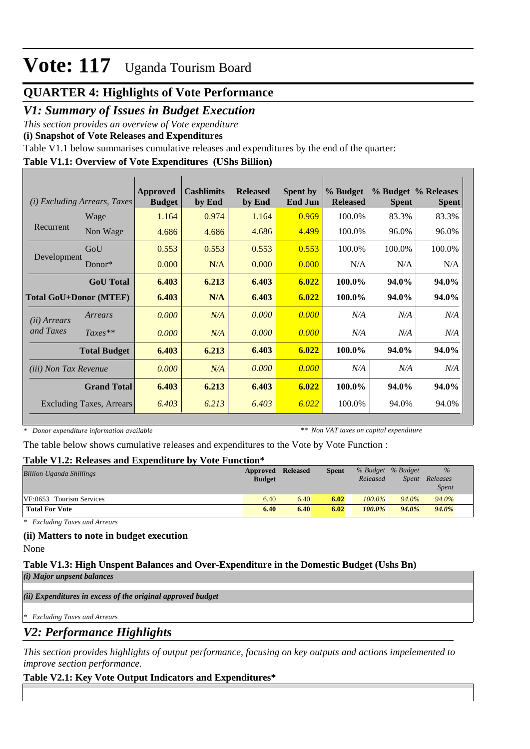## **QUARTER 4: Highlights of Vote Performance**

## *V1: Summary of Issues in Budget Execution*

*This section provides an overview of Vote expenditure* 

**(i) Snapshot of Vote Releases and Expenditures**

Table V1.1 below summarises cumulative releases and expenditures by the end of the quarter:

## **Table V1.1: Overview of Vote Expenditures (UShs Billion)**

|                               | (i) Excluding Arrears, Taxes | Approved<br><b>Budget</b> | <b>Cashlimits</b><br>by End | <b>Released</b><br>by End | <b>Spent by</b><br><b>End Jun</b> | % Budget<br><b>Released</b> | <b>Spent</b> | % Budget % Releases<br><b>Spent</b> |
|-------------------------------|------------------------------|---------------------------|-----------------------------|---------------------------|-----------------------------------|-----------------------------|--------------|-------------------------------------|
|                               | Wage                         | 1.164                     | 0.974                       | 1.164                     | 0.969                             | 100.0%                      | 83.3%        | 83.3%                               |
| Recurrent                     | Non Wage                     | 4.686                     | 4.686                       | 4.686                     | 4.499                             | 100.0%                      | 96.0%        | 96.0%                               |
|                               | GoU                          | 0.553                     | 0.553                       | 0.553                     | 0.553                             | 100.0%                      | 100.0%       | 100.0%                              |
| Development                   | Donor $*$                    | 0.000                     | N/A                         | 0.000                     | 0.000                             | N/A                         | N/A          | N/A                                 |
|                               | <b>GoU</b> Total             | 6.403                     | 6.213                       | 6.403                     | 6.022                             | 100.0%                      | 94.0%        | 94.0%                               |
| <b>Total GoU+Donor (MTEF)</b> |                              | 6.403                     | N/A                         | 6.403                     | 6.022                             | 100.0%                      | 94.0%        | 94.0%                               |
| ( <i>ii</i> ) Arrears         | Arrears                      | 0.000                     | N/A                         | 0.000                     | 0.000                             | N/A                         | N/A          | N/A                                 |
| and Taxes                     | $Taxes**$                    | 0.000                     | N/A                         | 0.000                     | 0.000                             | N/A                         | N/A          | N/A                                 |
|                               | <b>Total Budget</b>          | 6.403                     | 6.213                       | 6.403                     | 6.022                             | 100.0%                      | 94.0%        | 94.0%                               |
| (iii) Non Tax Revenue         |                              | 0.000                     | N/A                         | 0.000                     | 0.000                             | N/A                         | N/A          | N/A                                 |
|                               | <b>Grand Total</b>           | 6.403                     | 6.213                       | 6.403                     | 6.022                             | 100.0%                      | 94.0%        | 94.0%                               |
|                               | Excluding Taxes, Arrears     | 6.403                     | 6.213                       | 6.403                     | 6.022                             | 100.0%                      | 94.0%        | 94.0%                               |

*\* Donor expenditure information available*

*\*\* Non VAT taxes on capital expenditure*

The table below shows cumulative releases and expenditures to the Vote by Vote Function :

#### **Table V1.2: Releases and Expenditure by Vote Function\***

| A WIJAU - I AIZI ANUAUWUU WAAW AJIAMUJAMAUWA U IJI<br>$\sim$ $\sim$ $\sim$ $\sim$ $\sim$ $\sim$ $\sim$ $\sim$ |               |                 |              |           |                   |              |  |
|---------------------------------------------------------------------------------------------------------------|---------------|-----------------|--------------|-----------|-------------------|--------------|--|
| <b>Billion Uganda Shillings</b>                                                                               | Approved      | <b>Released</b> | <b>Spent</b> |           | % Budget % Budget | $\%$         |  |
|                                                                                                               | <b>Budget</b> |                 |              | Released  | Spent             | Releases     |  |
|                                                                                                               |               |                 |              |           |                   | <i>Spent</i> |  |
| VF:0653 Tourism Services                                                                                      | 6.40          | 6.40            | 6.02         | $100.0\%$ | 94.0%             | 94.0%        |  |
| <b>Total For Vote</b>                                                                                         | 6.40          | 6.40            | 6.02         | 100.0%    | $94.0\%$          | 94.0%        |  |

*\* Excluding Taxes and Arrears*

#### **(ii) Matters to note in budget execution**

None

#### **Table V1.3: High Unspent Balances and Over-Expenditure in the Domestic Budget (Ushs Bn)** *(i) Major unpsent balances*

*(ii) Expenditures in excess of the original approved budget*

*\* Excluding Taxes and Arrears*

*V2: Performance Highlights*

*This section provides highlights of output performance, focusing on key outputs and actions impelemented to improve section performance.*

## **Table V2.1: Key Vote Output Indicators and Expenditures\***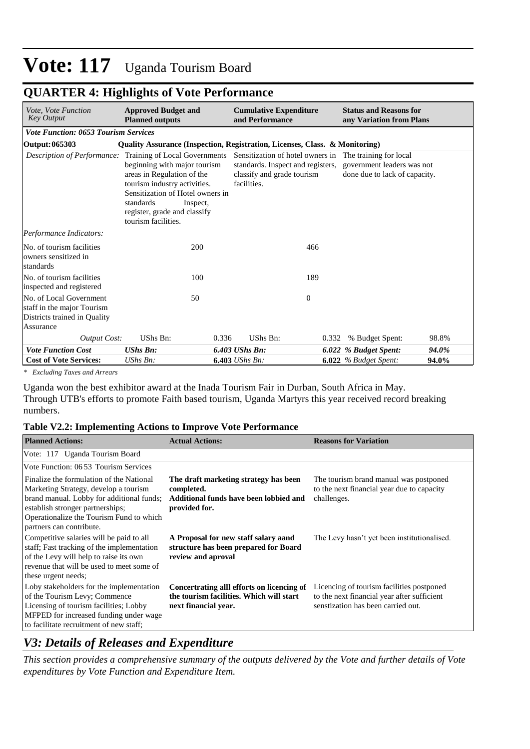## **QUARTER 4: Highlights of Vote Performance**

| Vote, Vote Function<br><b>Key Output</b>                                                           | <b>Approved Budget and</b><br><b>Planned outputs</b>                                                                                                                                                                                            | <b>Cumulative Expenditure</b><br>and Performance                               |              | <b>Status and Reasons for</b><br>any Variation from Plans                                                              |       |
|----------------------------------------------------------------------------------------------------|-------------------------------------------------------------------------------------------------------------------------------------------------------------------------------------------------------------------------------------------------|--------------------------------------------------------------------------------|--------------|------------------------------------------------------------------------------------------------------------------------|-------|
| <b>Vote Function: 0653 Tourism Services</b>                                                        |                                                                                                                                                                                                                                                 |                                                                                |              |                                                                                                                        |       |
| Output: 065303                                                                                     | <b>Quality Assurance (Inspection, Registration, Licenses, Class. &amp; Monitoring)</b>                                                                                                                                                          |                                                                                |              |                                                                                                                        |       |
| Description of Performance:                                                                        | Training of Local Governments<br>beginning with major tourism<br>areas in Regulation of the<br>tourism industry activities.<br>Sensitization of Hotel owners in<br>standards<br>Inspect,<br>register, grade and classify<br>tourism facilities. | standards. Inspect and registers,<br>classify and grade tourism<br>facilities. |              | Sensitization of hotel owners in The training for local<br>government leaders was not<br>done due to lack of capacity. |       |
| Performance Indicators:                                                                            |                                                                                                                                                                                                                                                 |                                                                                |              |                                                                                                                        |       |
| No. of tourism facilities<br>owners sensitized in<br>standards                                     | 200                                                                                                                                                                                                                                             |                                                                                | 466          |                                                                                                                        |       |
| No. of tourism facilities<br>inspected and registered                                              | 100                                                                                                                                                                                                                                             |                                                                                | 189          |                                                                                                                        |       |
| No. of Local Government<br>staff in the major Tourism<br>Districts trained in Quality<br>Assurance | 50                                                                                                                                                                                                                                              |                                                                                | $\mathbf{0}$ |                                                                                                                        |       |
| <b>Output Cost:</b>                                                                                | UShs Bn:                                                                                                                                                                                                                                        | 0.336<br>UShs Bn:                                                              | 0.332        | % Budget Spent:                                                                                                        | 98.8% |
| <b>Vote Function Cost</b>                                                                          | <b>UShs Bn:</b>                                                                                                                                                                                                                                 | 6.403 UShs Bn:                                                                 |              | 6.022 % Budget Spent:                                                                                                  | 94.0% |
| <b>Cost of Vote Services:</b>                                                                      | UShs Bn:                                                                                                                                                                                                                                        | $6.403$ UShs Bn:                                                               |              | $6.022$ % Budget Spent:                                                                                                | 94.0% |

*\* Excluding Taxes and Arrears*

Uganda won the best exhibitor award at the Inada Tourism Fair in Durban, South Africa in May. Through UTB's efforts to promote Faith based tourism, Uganda Martyrs this year received record breaking numbers.

#### **Table V2.2: Implementing Actions to Improve Vote Performance**

| <b>Planned Actions:</b>                                                                                                                                                                                                                    | <b>Actual Actions:</b>                                                                                         | <b>Reasons for Variation</b>                                                                                                   |
|--------------------------------------------------------------------------------------------------------------------------------------------------------------------------------------------------------------------------------------------|----------------------------------------------------------------------------------------------------------------|--------------------------------------------------------------------------------------------------------------------------------|
| Vote: 117 Uganda Tourism Board                                                                                                                                                                                                             |                                                                                                                |                                                                                                                                |
| Vote Function: 0653 Tourism Services                                                                                                                                                                                                       |                                                                                                                |                                                                                                                                |
| Finalize the formulation of the National<br>Marketing Strategy, develop a tourism<br>brand manual. Lobby for additional funds;<br>establish stronger partnerships;<br>Operationalize the Tourism Fund to which<br>partners can contribute. | The draft marketing strategy has been<br>completed.<br>Additional funds have been lobbied and<br>provided for. | The tourism brand manual was postponed<br>to the next financial year due to capacity<br>challenges.                            |
| Competitive salaries will be paid to all<br>staff; Fast tracking of the implementation<br>of the Levy will help to raise its own<br>revenue that will be used to meet some of<br>these urgent needs;                                       | A Proposal for new staff salary aand<br>structure has been prepared for Board<br>review and aproval            | The Levy hasn't yet been institutionalised.                                                                                    |
| Loby stakeholders for the implementation<br>of the Tourism Levy; Commence<br>Licensing of tourism facilities; Lobby<br>MFPED for increased funding under wage<br>to facilitate recruitment of new staff;                                   | Concertrating all efforts on licencing of<br>the tourism facilities. Which will start<br>next financial year.  | Licencing of tourism facilities postponed<br>to the next financial year after sufficient<br>senstization has been carried out. |

## *V3: Details of Releases and Expenditure*

*This section provides a comprehensive summary of the outputs delivered by the Vote and further details of Vote expenditures by Vote Function and Expenditure Item.*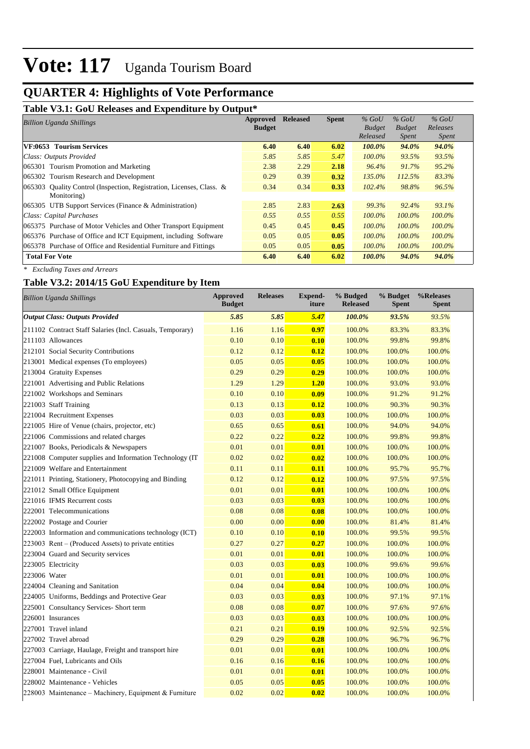## **QUARTER 4: Highlights of Vote Performance**

#### **Table V3.1: GoU Releases and Expenditure by Output\***

| <b>Billion Uganda Shillings</b>                                         | Approved      | <b>Released</b> | <b>Spent</b> | $%$ GoU       | $%$ GoU       | $%$ GoU      |  |
|-------------------------------------------------------------------------|---------------|-----------------|--------------|---------------|---------------|--------------|--|
|                                                                         | <b>Budget</b> |                 |              | <b>Budget</b> | <b>Budget</b> | Releases     |  |
|                                                                         |               |                 |              | Released      | <i>Spent</i>  | <i>Spent</i> |  |
| VF:0653 Tourism Services                                                | 6.40          | 6.40            | 6.02         | 100.0%        | 94.0%         | 94.0%        |  |
| Class: Outputs Provided                                                 | 5.85          | 5.85            | 5.47         | $100.0\%$     | 93.5%         | 93.5%        |  |
| 065301 Tourism Promotion and Marketing                                  | 2.38          | 2.29            | 2.18         | 96.4%         | 91.7%         | $95.2\%$     |  |
| 065302 Tourism Research and Development                                 | 0.29          | 0.39            | 0.32         | 135.0%        | 112.5%        | 83.3%        |  |
| Quality Control (Inspection, Registration, Licenses, Class. &<br>065303 | 0.34          | 0.34            | 0.33         | 102.4%        | 98.8%         | 96.5%        |  |
| Monitoring)                                                             |               |                 |              |               |               |              |  |
| 065305 UTB Support Services (Finance & Administration)                  | 2.85          | 2.83            | 2.63         | 99.3%         | 92.4%         | 93.1%        |  |
| Class: Capital Purchases                                                | 0.55          | 0.55            | 0.55         | $100.0\%$     | 100.0%        | $100.0\%$    |  |
| 065375 Purchase of Motor Vehicles and Other Transport Equipment         | 0.45          | 0.45            | 0.45         | $100.0\%$     | $100.0\%$     | $100.0\%$    |  |
| 065376 Purchase of Office and ICT Equipment, including Software         | 0.05          | 0.05            | 0.05         | $100.0\%$     | 100.0%        | 100.0%       |  |
| 065378 Purchase of Office and Residential Furniture and Fittings        | 0.05          | 0.05            | 0.05         | $100.0\%$     | $100.0\%$     | $100.0\%$    |  |
| <b>Total For Vote</b>                                                   | 6.40          | 6.40            | 6.02         | 100.0%        | 94.0%         | 94.0%        |  |

*\* Excluding Taxes and Arrears*

#### **Table V3.2: 2014/15 GoU Expenditure by Item**

|              | <b>Billion Uganda Shillings</b>                           | <b>Approved</b><br><b>Budget</b> | <b>Releases</b> | Expend-<br>iture | % Budged<br><b>Released</b> | % Budget<br><b>Spent</b> | %Releases<br>Spent |
|--------------|-----------------------------------------------------------|----------------------------------|-----------------|------------------|-----------------------------|--------------------------|--------------------|
|              | <b>Output Class: Outputs Provided</b>                     | 5.85                             | 5.85            | 5.47             | 100.0%                      | 93.5%                    | 93.5%              |
|              | 211102 Contract Staff Salaries (Incl. Casuals, Temporary) | 1.16                             | 1.16            | 0.97             | 100.0%                      | 83.3%                    | 83.3%              |
|              | 211103 Allowances                                         | 0.10                             | 0.10            | 0.10             | 100.0%                      | 99.8%                    | 99.8%              |
|              | 212101 Social Security Contributions                      | 0.12                             | 0.12            | 0.12             | 100.0%                      | 100.0%                   | 100.0%             |
|              | 213001 Medical expenses (To employees)                    | 0.05                             | 0.05            | 0.05             | 100.0%                      | 100.0%                   | 100.0%             |
|              | 213004 Gratuity Expenses                                  | 0.29                             | 0.29            | 0.29             | 100.0%                      | 100.0%                   | 100.0%             |
|              | 221001 Advertising and Public Relations                   | 1.29                             | 1.29            | 1.20             | 100.0%                      | 93.0%                    | 93.0%              |
|              | 221002 Workshops and Seminars                             | 0.10                             | 0.10            | 0.09             | 100.0%                      | 91.2%                    | 91.2%              |
|              | 221003 Staff Training                                     | 0.13                             | 0.13            | 0.12             | 100.0%                      | 90.3%                    | 90.3%              |
|              | 221004 Recruitment Expenses                               | 0.03                             | 0.03            | 0.03             | 100.0%                      | 100.0%                   | 100.0%             |
|              | 221005 Hire of Venue (chairs, projector, etc)             | 0.65                             | 0.65            | 0.61             | 100.0%                      | 94.0%                    | 94.0%              |
|              | 221006 Commissions and related charges                    | 0.22                             | 0.22            | 0.22             | 100.0%                      | 99.8%                    | 99.8%              |
|              | 221007 Books, Periodicals & Newspapers                    | 0.01                             | 0.01            | 0.01             | 100.0%                      | 100.0%                   | 100.0%             |
|              | 221008 Computer supplies and Information Technology (IT   | 0.02                             | 0.02            | 0.02             | 100.0%                      | 100.0%                   | 100.0%             |
|              | 221009 Welfare and Entertainment                          | 0.11                             | 0.11            | 0.11             | 100.0%                      | 95.7%                    | 95.7%              |
|              | 221011 Printing, Stationery, Photocopying and Binding     | 0.12                             | 0.12            | 0.12             | 100.0%                      | 97.5%                    | 97.5%              |
|              | 221012 Small Office Equipment                             | 0.01                             | 0.01            | 0.01             | 100.0%                      | 100.0%                   | 100.0%             |
|              | 221016 IFMS Recurrent costs                               | 0.03                             | 0.03            | 0.03             | 100.0%                      | 100.0%                   | 100.0%             |
|              | 222001 Telecommunications                                 | 0.08                             | 0.08            | 0.08             | 100.0%                      | 100.0%                   | 100.0%             |
|              | 222002 Postage and Courier                                | 0.00                             | 0.00            | 0.00             | 100.0%                      | 81.4%                    | 81.4%              |
|              | 222003 Information and communications technology (ICT)    | 0.10                             | 0.10            | 0.10             | 100.0%                      | 99.5%                    | 99.5%              |
|              | 223003 Rent – (Produced Assets) to private entities       | 0.27                             | 0.27            | 0.27             | 100.0%                      | 100.0%                   | 100.0%             |
|              | 223004 Guard and Security services                        | 0.01                             | 0.01            | 0.01             | 100.0%                      | 100.0%                   | 100.0%             |
|              | 223005 Electricity                                        | 0.03                             | 0.03            | 0.03             | 100.0%                      | 99.6%                    | 99.6%              |
| 223006 Water |                                                           | 0.01                             | 0.01            | 0.01             | 100.0%                      | 100.0%                   | 100.0%             |
|              | 224004 Cleaning and Sanitation                            | 0.04                             | 0.04            | 0.04             | 100.0%                      | 100.0%                   | 100.0%             |
|              | 224005 Uniforms, Beddings and Protective Gear             | 0.03                             | 0.03            | 0.03             | 100.0%                      | 97.1%                    | 97.1%              |
|              | 225001 Consultancy Services- Short term                   | 0.08                             | 0.08            | 0.07             | 100.0%                      | 97.6%                    | 97.6%              |
|              | 226001 Insurances                                         | 0.03                             | 0.03            | 0.03             | 100.0%                      | 100.0%                   | 100.0%             |
|              | 227001 Travel inland                                      | 0.21                             | 0.21            | 0.19             | 100.0%                      | 92.5%                    | 92.5%              |
|              | 227002 Travel abroad                                      | 0.29                             | 0.29            | 0.28             | 100.0%                      | 96.7%                    | 96.7%              |
|              | 227003 Carriage, Haulage, Freight and transport hire      | 0.01                             | 0.01            | 0.01             | 100.0%                      | 100.0%                   | 100.0%             |
|              | 227004 Fuel, Lubricants and Oils                          | 0.16                             | 0.16            | 0.16             | 100.0%                      | 100.0%                   | 100.0%             |
|              | 228001 Maintenance - Civil                                | 0.01                             | 0.01            | 0.01             | 100.0%                      | 100.0%                   | 100.0%             |
|              | 228002 Maintenance - Vehicles                             | 0.05                             | 0.05            | 0.05             | 100.0%                      | 100.0%                   | 100.0%             |
|              | 228003 Maintenance – Machinery, Equipment & Furniture     | 0.02                             | 0.02            | 0.02             | 100.0%                      | 100.0%                   | 100.0%             |